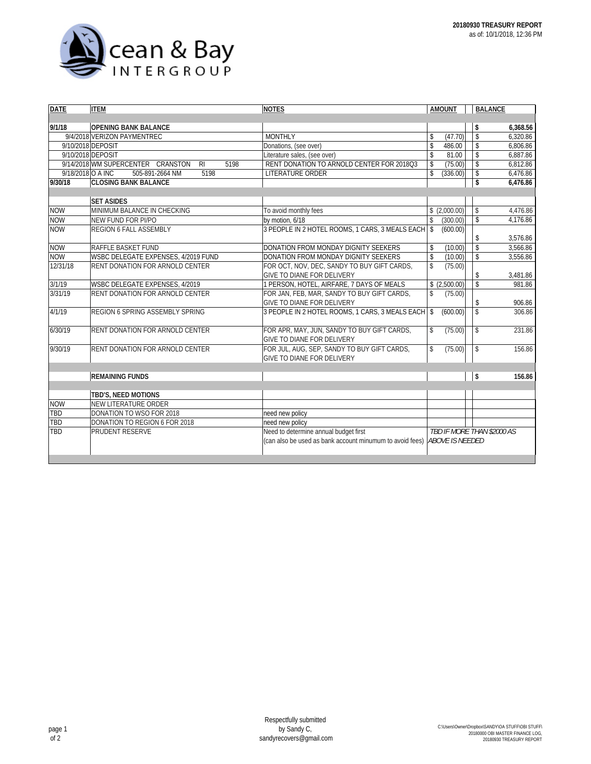

| <b>DATE</b> | <b>ITEM</b>                                                 | <b>NOTES</b>                                             | <b>AMOUNT</b>                  | <b>BALANCE</b>          |          |
|-------------|-------------------------------------------------------------|----------------------------------------------------------|--------------------------------|-------------------------|----------|
|             |                                                             |                                                          |                                |                         |          |
| 9/1/18      | <b>OPENING BANK BALANCE</b>                                 |                                                          |                                | \$                      | 6.368.56 |
|             | 9/4/2018 VERIZON PAYMENTREC                                 | <b>MONTHLY</b>                                           | (47.70)<br>\$                  | $\overline{\mathsf{s}}$ | 6,320.86 |
|             | 9/10/2018 DEPOSIT                                           | Donations, (see over)                                    | $\mathsf{\$}$<br>486.00        | $\mathbb S$             | 6,806.86 |
|             | 9/10/2018 DEPOSIT                                           | Literature sales, (see over)                             | $\mathsf{\$}$<br>81.00         | \$                      | 6,887.86 |
|             | 9/14/2018 WM SUPERCENTER CRANSTON<br>5198<br>R <sub>l</sub> | RENT DONATION TO ARNOLD CENTER FOR 2018Q3                | (75.00)<br>\$                  | \$                      | 6,812.86 |
|             | 9/18/2018 O A INC<br>505-891-2664 NM<br>5198                | LITERATURE ORDER                                         | $\mathbf{\hat{S}}$<br>(336.00) | \$                      | 6,476.86 |
| 9/30/18     | <b>CLOSING BANK BALANCE</b>                                 |                                                          |                                | \$                      | 6,476.86 |
|             |                                                             |                                                          |                                |                         |          |
|             | <b>SET ASIDES</b>                                           |                                                          |                                |                         |          |
| <b>NOW</b>  | MINIMUM BALANCE IN CHECKING                                 | To avoid monthly fees                                    | \$(2,000.00)                   | \$                      | 4,476.86 |
| <b>NOW</b>  | NEW FUND FOR PI/PO                                          | by motion, 6/18                                          | (300.00)<br>\$                 | $\overline{\mathbf{s}}$ | 4.176.86 |
| <b>NOW</b>  | <b>REGION 6 FALL ASSEMBLY</b>                               | 3 PEOPLE IN 2 HOTEL ROOMS, 1 CARS, 3 MEALS EACH          | $\mathbf{\hat{S}}$<br>(600.00) |                         |          |
|             |                                                             |                                                          |                                | \$                      | 3,576.86 |
| <b>NOW</b>  | RAFFLE BASKET FUND                                          | DONATION FROM MONDAY DIGNITY SEEKERS                     | (10.00)<br>\$                  | $\overline{\mathsf{s}}$ | 3.566.86 |
| <b>NOW</b>  | WSBC DELEGATE EXPENSES, 4/2019 FUND                         | DONATION FROM MONDAY DIGNITY SEEKERS                     | $\mathbb S$<br>(10.00)         | \$                      | 3,556.86 |
| 12/31/18    | RENT DONATION FOR ARNOLD CENTER                             | FOR OCT, NOV, DEC, SANDY TO BUY GIFT CARDS,              | $$\mathbb{S}$$<br>(75.00)      |                         |          |
|             |                                                             | GIVE TO DIANE FOR DELIVERY                               |                                | \$                      | 3,481.86 |
| 3/1/19      | WSBC DELEGATE EXPENSES, 4/2019                              | 1 PERSON, HOTEL, AIRFARE, 7 DAYS OF MEALS                | \$(2,500.00)                   | $\overline{\mathbf{s}}$ | 981.86   |
| 3/31/19     | <b>RENT DONATION FOR ARNOLD CENTER</b>                      | FOR JAN, FEB, MAR, SANDY TO BUY GIFT CARDS,              | (75.00)<br>\$                  |                         |          |
|             |                                                             | GIVE TO DIANE FOR DELIVERY                               |                                | \$                      | 906.86   |
| 4/1/19      | <b>REGION 6 SPRING ASSEMBLY SPRING</b>                      | 3 PEOPLE IN 2 HOTEL ROOMS, 1 CARS, 3 MEALS EACH          | (600.00)<br>$\mathbf{\hat{S}}$ | $\mathbb S$             | 306.86   |
|             |                                                             |                                                          |                                |                         |          |
| 6/30/19     | RENT DONATION FOR ARNOLD CENTER                             | FOR APR, MAY, JUN, SANDY TO BUY GIFT CARDS,              | \$<br>(75.00)                  | \$                      | 231.86   |
|             |                                                             | GIVE TO DIANE FOR DELIVERY                               |                                |                         |          |
| 9/30/19     | <b>RENT DONATION FOR ARNOLD CENTER</b>                      | FOR JUL, AUG, SEP, SANDY TO BUY GIFT CARDS,              | \$<br>(75.00)                  | \$                      | 156.86   |
|             |                                                             | GIVE TO DIANE FOR DELIVERY                               |                                |                         |          |
|             |                                                             |                                                          |                                |                         |          |
|             | <b>REMAINING FUNDS</b>                                      |                                                          |                                | \$                      | 156.86   |
|             |                                                             |                                                          |                                |                         |          |
|             | TBD'S, NEED MOTIONS                                         |                                                          |                                |                         |          |
| <b>NOW</b>  | NEW LITERATURE ORDER                                        |                                                          |                                |                         |          |
| TBD         | DONATION TO WSO FOR 2018                                    | need new policy                                          |                                |                         |          |
| TBD         | DONATION TO REGION 6 FOR 2018                               | need new policy                                          |                                |                         |          |
| TBD         | <b>PRUDENT RESERVE</b>                                      | Need to determine annual budget first                    | TBD IF MORE THAN \$2000 AS     |                         |          |
|             |                                                             | (can also be used as bank account minumum to avoid fees) | <b>ABOVE IS NEEDED</b>         |                         |          |
|             |                                                             |                                                          |                                |                         |          |
|             |                                                             |                                                          |                                |                         |          |